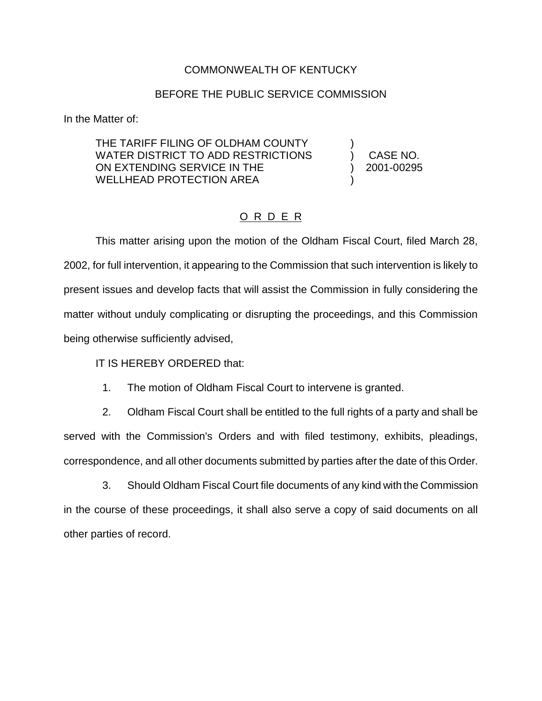## COMMONWEALTH OF KENTUCKY

## BEFORE THE PUBLIC SERVICE COMMISSION

In the Matter of:

THE TARIFF FILING OF OLDHAM COUNTY WATER DISTRICT TO ADD RESTRICTIONS  $\qquad$  ) CASE NO. ON EXTENDING SERVICE IN THE ) 2001-00295 WELLHEAD PROTECTION AREA

## O R D E R

This matter arising upon the motion of the Oldham Fiscal Court, filed March 28, 2002, for full intervention, it appearing to the Commission that such intervention is likely to present issues and develop facts that will assist the Commission in fully considering the matter without unduly complicating or disrupting the proceedings, and this Commission being otherwise sufficiently advised,

IT IS HEREBY ORDERED that:

1. The motion of Oldham Fiscal Court to intervene is granted.

2. Oldham Fiscal Court shall be entitled to the full rights of a party and shall be served with the Commission's Orders and with filed testimony, exhibits, pleadings, correspondence, and all other documents submitted by parties after the date of this Order.

3. Should Oldham Fiscal Court file documents of any kind with the Commission in the course of these proceedings, it shall also serve a copy of said documents on all other parties of record.